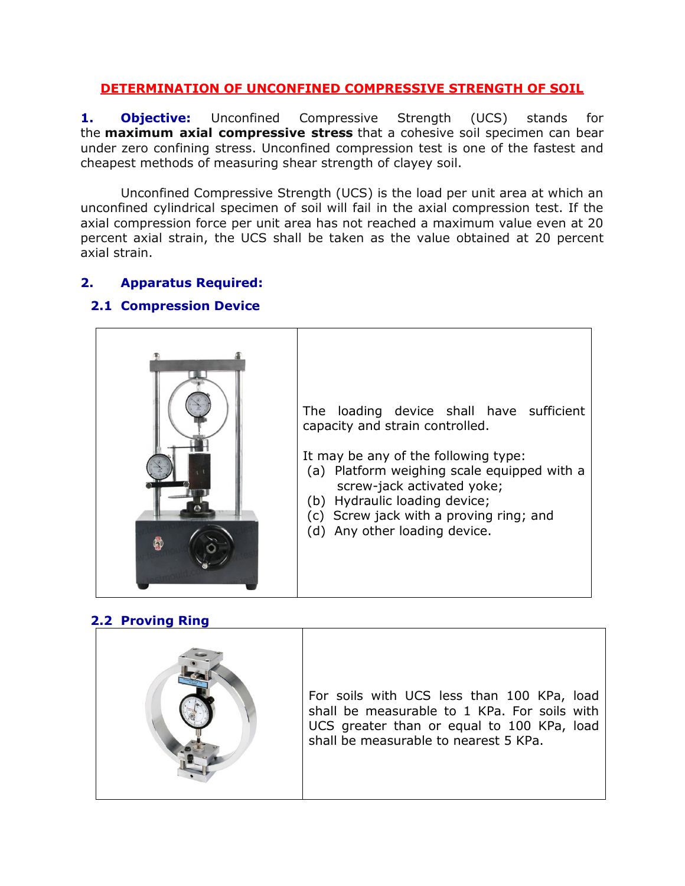### DETERMINATION OF UNCONFINED COMPRESSIVE STRENGTH OF SOIL

**1. Objective:** Unconfined Compressive Strength (UCS) stands for the **maximum axial compressive stress** that a cohesive soil specimen can bear under zero confining stress. Unconfined compression test is one of the fastest and cheapest methods of measuring shear strength of clayey soil.

Unconfined Compressive Strength (UCS) is the load per unit area at which an unconfined cylindrical specimen of soil will fail in the axial compression test. If the axial compression force per unit area has not reached a maximum value even at 20 percent axial strain, the UCS shall be taken as the value obtained at 20 percent axial strain.

# 2. Apparatus Required:

### 2.1 Compression Device



# 2.2 Proving Ring

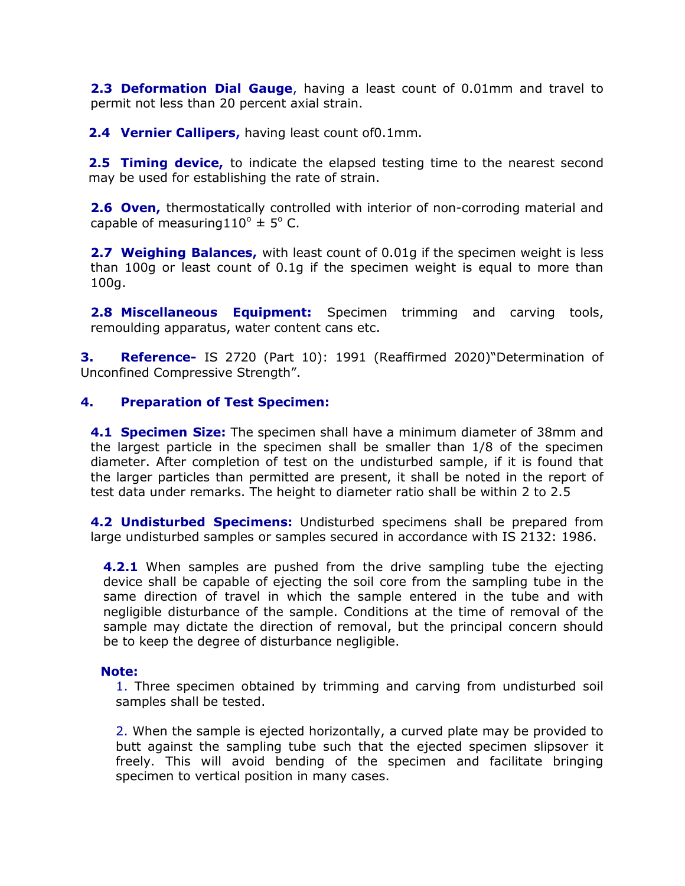**2.3 Deformation Dial Gauge**, having a least count of 0.01mm and travel to permit not less than 20 percent axial strain.

**2.4 Vernier Callipers, having least count of 0.1mm.** 

**2.5 Timing device,** to indicate the elapsed testing time to the nearest second may be used for establishing the rate of strain.

**2.6 Oven,** thermostatically controlled with interior of non-corroding material and capable of measuring  $110^{\circ} \pm 5^{\circ}$  C.

**2.7 Weighing Balances,** with least count of 0.01g if the specimen weight is less than 100g or least count of 0.1g if the specimen weight is equal to more than 100g.

2.8 Miscellaneous Equipment: Specimen trimming and carving tools, remoulding apparatus, water content cans etc.

**3.** Reference- IS 2720 (Part 10): 1991 (Reaffirmed 2020)"Determination of Unconfined Compressive Strength".

#### 4. Preparation of Test Specimen:

**4.1 Specimen Size:** The specimen shall have a minimum diameter of 38mm and the largest particle in the specimen shall be smaller than 1/8 of the specimen diameter. After completion of test on the undisturbed sample, if it is found that the larger particles than permitted are present, it shall be noted in the report of test data under remarks. The height to diameter ratio shall be within 2 to 2.5

4.2 Undisturbed Specimens: Undisturbed specimens shall be prepared from large undisturbed samples or samples secured in accordance with IS 2132: 1986.

**4.2.1** When samples are pushed from the drive sampling tube the ejecting device shall be capable of ejecting the soil core from the sampling tube in the same direction of travel in which the sample entered in the tube and with negligible disturbance of the sample. Conditions at the time of removal of the sample may dictate the direction of removal, but the principal concern should be to keep the degree of disturbance negligible.

#### Note:

1. Three specimen obtained by trimming and carving from undisturbed soil samples shall be tested.

2. When the sample is ejected horizontally, a curved plate may be provided to butt against the sampling tube such that the ejected specimen slipsover it freely. This will avoid bending of the specimen and facilitate bringing specimen to vertical position in many cases.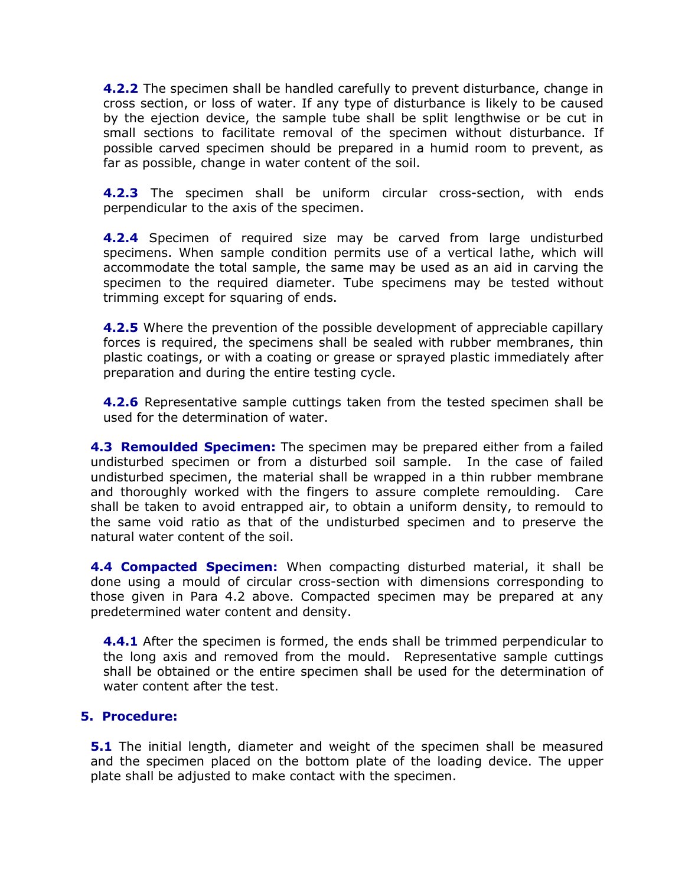**4.2.2** The specimen shall be handled carefully to prevent disturbance, change in cross section, or loss of water. If any type of disturbance is likely to be caused by the ejection device, the sample tube shall be split lengthwise or be cut in small sections to facilitate removal of the specimen without disturbance. If possible carved specimen should be prepared in a humid room to prevent, as far as possible, change in water content of the soil.

**4.2.3** The specimen shall be uniform circular cross-section, with ends perpendicular to the axis of the specimen.

**4.2.4** Specimen of required size may be carved from large undisturbed specimens. When sample condition permits use of a vertical lathe, which will accommodate the total sample, the same may be used as an aid in carving the specimen to the required diameter. Tube specimens may be tested without trimming except for squaring of ends.

**4.2.5** Where the prevention of the possible development of appreciable capillary forces is required, the specimens shall be sealed with rubber membranes, thin plastic coatings, or with a coating or grease or sprayed plastic immediately after preparation and during the entire testing cycle.

**4.2.6** Representative sample cuttings taken from the tested specimen shall be used for the determination of water.

4.3 Remoulded Specimen: The specimen may be prepared either from a failed undisturbed specimen or from a disturbed soil sample. In the case of failed undisturbed specimen, the material shall be wrapped in a thin rubber membrane and thoroughly worked with the fingers to assure complete remoulding. Care shall be taken to avoid entrapped air, to obtain a uniform density, to remould to the same void ratio as that of the undisturbed specimen and to preserve the natural water content of the soil.

4.4 Compacted Specimen: When compacting disturbed material, it shall be done using a mould of circular cross-section with dimensions corresponding to those given in Para 4.2 above. Compacted specimen may be prepared at any predetermined water content and density.

**4.4.1** After the specimen is formed, the ends shall be trimmed perpendicular to the long axis and removed from the mould. Representative sample cuttings shall be obtained or the entire specimen shall be used for the determination of water content after the test.

#### 5. Procedure:

**5.1** The initial length, diameter and weight of the specimen shall be measured and the specimen placed on the bottom plate of the loading device. The upper plate shall be adjusted to make contact with the specimen.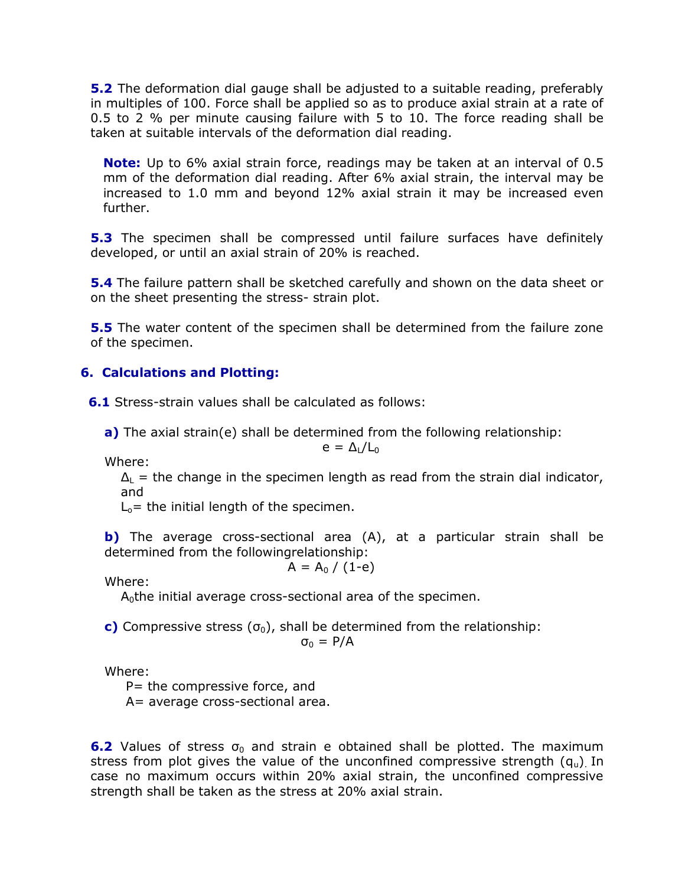**5.2** The deformation dial gauge shall be adjusted to a suitable reading, preferably in multiples of 100. Force shall be applied so as to produce axial strain at a rate of 0.5 to 2 % per minute causing failure with 5 to 10. The force reading shall be taken at suitable intervals of the deformation dial reading.

Note: Up to 6% axial strain force, readings may be taken at an interval of 0.5 mm of the deformation dial reading. After 6% axial strain, the interval may be increased to 1.0 mm and beyond 12% axial strain it may be increased even further.

**5.3** The specimen shall be compressed until failure surfaces have definitely developed, or until an axial strain of 20% is reached.

**5.4** The failure pattern shall be sketched carefully and shown on the data sheet or on the sheet presenting the stress- strain plot.

**5.5** The water content of the specimen shall be determined from the failure zone of the specimen.

### 6. Calculations and Plotting:

**6.1** Stress-strain values shall be calculated as follows:

a) The axial strain(e) shall be determined from the following relationship:

$$
e = \Delta_{L}/L_{0}
$$

Where:

 $\Delta_l$  = the change in the specimen length as read from the strain dial indicator, and

 $L<sub>o</sub>$  = the initial length of the specimen.

b) The average cross-sectional area (A), at a particular strain shall be determined from the followingrelationship:

$$
A = A_0 / (1-e)
$$

Where:

 $A<sub>0</sub>$ the initial average cross-sectional area of the specimen.

c) Compressive stress  $(\sigma_0)$ , shall be determined from the relationship:  $\sigma_0 = P/A$ 

Where:

P= the compressive force, and

A= average cross-sectional area.

**6.2** Values of stress  $\sigma_0$  and strain e obtained shall be plotted. The maximum stress from plot gives the value of the unconfined compressive strength  $(q_u)$  In case no maximum occurs within 20% axial strain, the unconfined compressive strength shall be taken as the stress at 20% axial strain.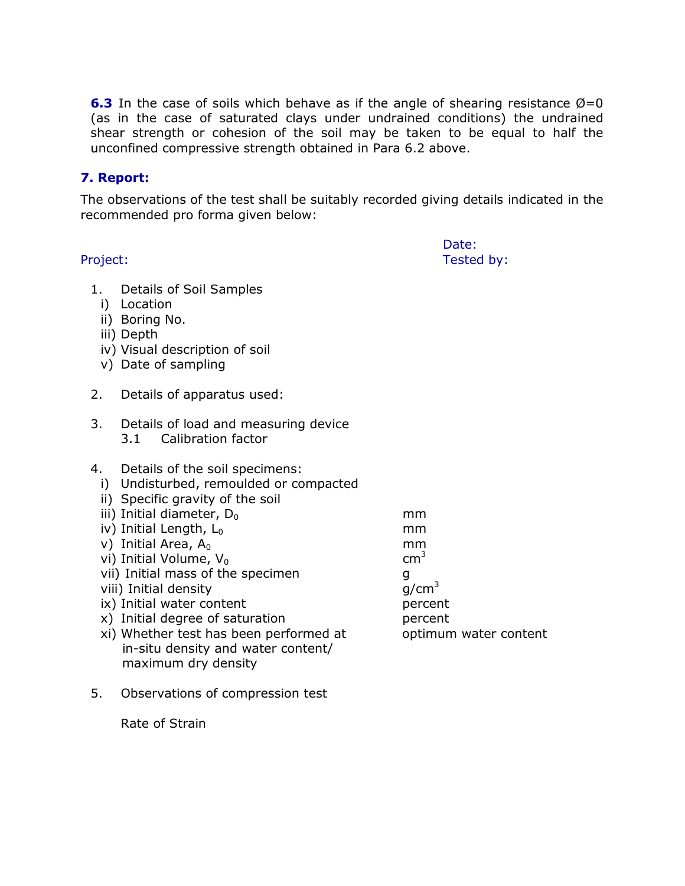**6.3** In the case of soils which behave as if the angle of shearing resistance  $\varnothing = 0$ (as in the case of saturated clays under undrained conditions) the undrained shear strength or cohesion of the soil may be taken to be equal to half the unconfined compressive strength obtained in Para 6.2 above.

### 7. Report:

The observations of the test shall be suitably recorded giving details indicated in the recommended pro forma given below:

Date: Project: Tested by:

- 1. Details of Soil Samples
	- i) Location
	- ii) Boring No.
	- iii) Depth
	- iv) Visual description of soil
	- v) Date of sampling
- 2. Details of apparatus used:
- 3. Details of load and measuring device 3.1 Calibration factor
- 4. Details of the soil specimens:
	- i) Undisturbed, remoulded or compacted
	- ii) Specific gravity of the soil
	- iii) Initial diameter,  $D_0$  mm
	- iv) Initial Length,  $L_0$  mm
	- v) Initial Area,  $A_0$  mm mm cm<sup>3</sup>
	- vi) Initial Volume,  $V_0$
	- vii) Initial mass of the specimen q
	- viii) Initial density g/cm<sup>3</sup>
	- ix) Initial water content percent
	- x) Initial degree of saturation percent
	- xi) Whether test has been performed at optimum water content in-situ density and water content/ maximum dry density
- 5. Observations of compression test

Rate of Strain

- 
- 
-